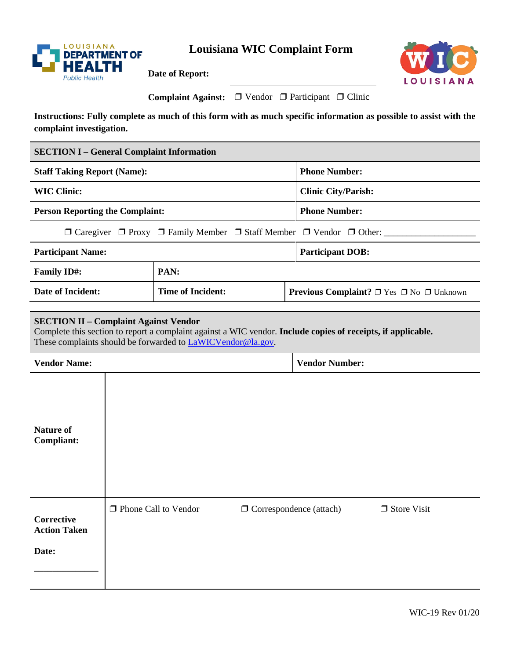

**Date of Report:** 



| <b>Complaint Against:</b> $\Box$ Vendor $\Box$ Participant $\Box$ Clinic |  |  |  |
|--------------------------------------------------------------------------|--|--|--|
|--------------------------------------------------------------------------|--|--|--|

**Instructions: Fully complete as much of this form with as much specific information as possible to assist with the complaint investigation.** 

| <b>SECTION I – General Complaint Information</b>                                                                                                                                                                                     |                          |                                                                |                            |  |  |
|--------------------------------------------------------------------------------------------------------------------------------------------------------------------------------------------------------------------------------------|--------------------------|----------------------------------------------------------------|----------------------------|--|--|
| <b>Staff Taking Report (Name):</b>                                                                                                                                                                                                   |                          |                                                                | <b>Phone Number:</b>       |  |  |
| <b>WIC Clinic:</b>                                                                                                                                                                                                                   |                          |                                                                | <b>Clinic City/Parish:</b> |  |  |
| <b>Person Reporting the Complaint:</b>                                                                                                                                                                                               |                          | <b>Phone Number:</b>                                           |                            |  |  |
| $\Box$ Caregiver $\Box$ Proxy $\Box$ Family Member $\Box$ Staff Member $\Box$ Vendor $\Box$ Other:                                                                                                                                   |                          |                                                                |                            |  |  |
| <b>Participant Name:</b>                                                                                                                                                                                                             |                          | <b>Participant DOB:</b>                                        |                            |  |  |
| <b>Family ID#:</b>                                                                                                                                                                                                                   | PAN:                     |                                                                |                            |  |  |
| <b>Date of Incident:</b>                                                                                                                                                                                                             | <b>Time of Incident:</b> | <b>Previous Complaint?</b> $\Box$ Yes $\Box$ No $\Box$ Unknown |                            |  |  |
| <b>SECTION II – Complaint Against Vendor</b><br>Complete this section to report a complaint against a WIC vendor. Include copies of receipts, if applicable.<br>These complaints should be forwarded to <b>LaWICV</b> endor @la.gov. |                          |                                                                |                            |  |  |
| <b>Vendor Name:</b>                                                                                                                                                                                                                  |                          | <b>Vendor Number:</b>                                          |                            |  |  |
|                                                                                                                                                                                                                                      |                          |                                                                |                            |  |  |

| <b>Nature of</b><br><b>Compliant:</b>             |                        |                                |               |
|---------------------------------------------------|------------------------|--------------------------------|---------------|
| <b>Corrective</b><br><b>Action Taken</b><br>Date: | □ Phone Call to Vendor | $\Box$ Correspondence (attach) | □ Store Visit |